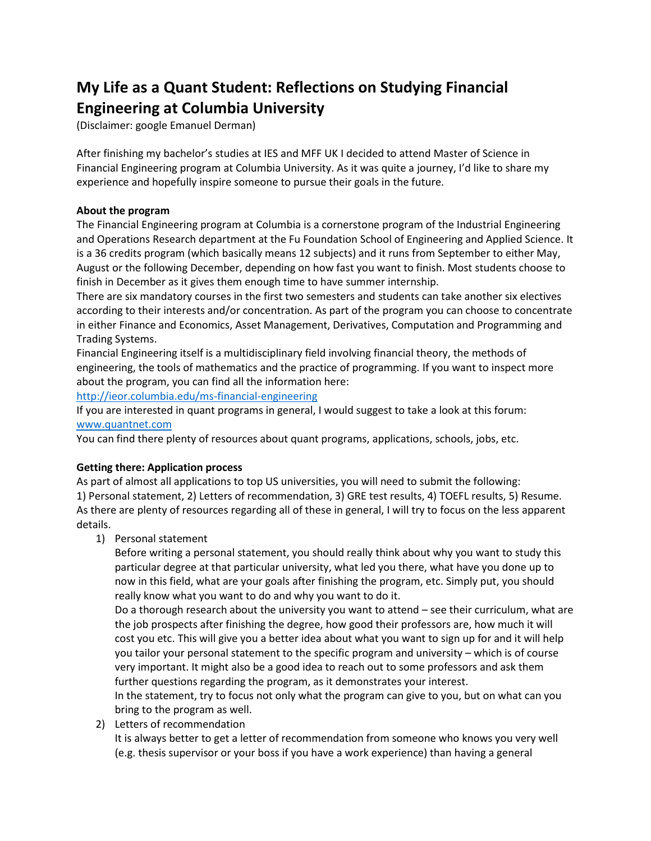# **My Life as a Quant Student: Reflections on Studying Financial Engineering at Columbia University**

(Disclaimer: google Emanuel Derman)

After finishing my bachelor's studies at IES and MFF UK I decided to attend Master of Science in Financial Engineering program at Columbia University. As it was quite a journey, I'd like to share my experience and hopefully inspire someone to pursue their goals in the future.

## **About the program**

The Financial Engineering program at Columbia is a cornerstone program of the Industrial Engineering and Operations Research department at the Fu Foundation School of Engineering and Applied Science. It is a 36 credits program (which basically means 12 subjects) and it runs from September to either May, August or the following December, depending on how fast you want to finish. Most students choose to finish in December as it gives them enough time to have summer internship.

There are six mandatory courses in the first two semesters and students can take another six electives according to their interests and/or concentration. As part of the program you can choose to concentrate in either Finance and Economics, Asset Management, Derivatives, Computation and Programming and Trading Systems.

Financial Engineering itself is a multidisciplinary field involving financial theory, the methods of engineering, the tools of mathematics and the practice of programming. If you want to inspect more about the program, you can find all the information here:

<http://ieor.columbia.edu/ms-financial-engineering>

If you are interested in quant programs in general, I would suggest to take a look at this forum: [www.quantnet.com](http://www.quantnet.com/)

You can find there plenty of resources about quant programs, applications, schools, jobs, etc.

# **Getting there: Application process**

As part of almost all applications to top US universities, you will need to submit the following: 1) Personal statement, 2) Letters of recommendation, 3) GRE test results, 4) TOEFL results, 5) Resume. As there are plenty of resources regarding all of these in general, I will try to focus on the less apparent details.

1) Personal statement

Before writing a personal statement, you should really think about why you want to study this particular degree at that particular university, what led you there, what have you done up to now in this field, what are your goals after finishing the program, etc. Simply put, you should really know what you want to do and why you want to do it.

Do a thorough research about the university you want to attend – see their curriculum, what are the job prospects after finishing the degree, how good their professors are, how much it will cost you etc. This will give you a better idea about what you want to sign up for and it will help you tailor your personal statement to the specific program and university – which is of course very important. It might also be a good idea to reach out to some professors and ask them further questions regarding the program, as it demonstrates your interest.

In the statement, try to focus not only what the program can give to you, but on what can you bring to the program as well.

2) Letters of recommendation

It is always better to get a letter of recommendation from someone who knows you very well (e.g. thesis supervisor or your boss if you have a work experience) than having a general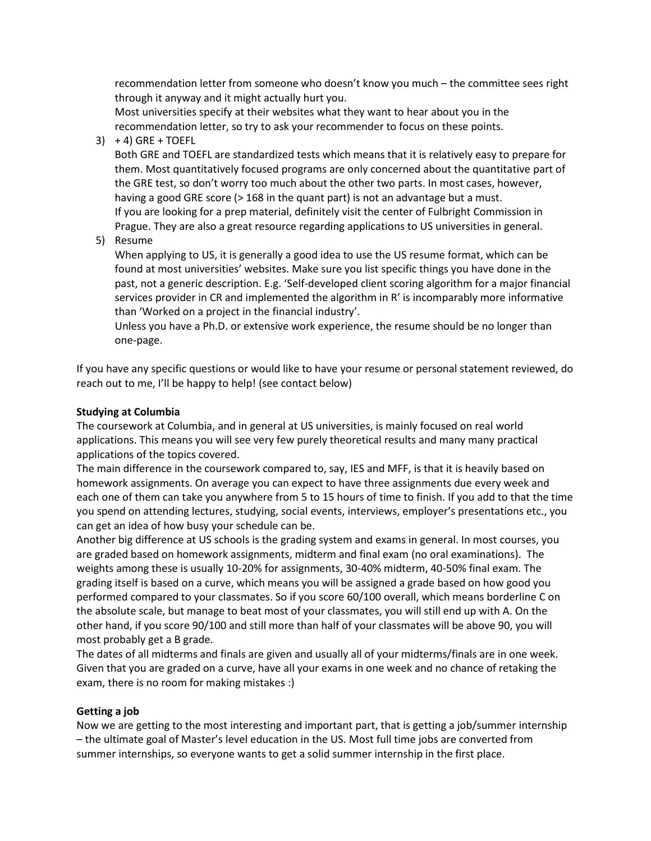recommendation letter from someone who doesn't know you much – the committee sees right through it anyway and it might actually hurt you.

Most universities specify at their websites what they want to hear about you in the recommendation letter, so try to ask your recommender to focus on these points.

 $3)$  + 4) GRE + TOEFL

Both GRE and TOEFL are standardized tests which means that it is relatively easy to prepare for them. Most quantitatively focused programs are only concerned about the quantitative part of the GRE test, so don't worry too much about the other two parts. In most cases, however, having a good GRE score (> 168 in the quant part) is not an advantage but a must. If you are looking for a prep material, definitely visit the center of Fulbright Commission in Prague. They are also a great resource regarding applications to US universities in general.

5) Resume

When applying to US, it is generally a good idea to use the US resume format, which can be found at most universities' websites. Make sure you list specific things you have done in the past, not a generic description. E.g. 'Self-developed client scoring algorithm for a major financial services provider in CR and implemented the algorithm in R' is incomparably more informative than 'Worked on a project in the financial industry'.

Unless you have a Ph.D. or extensive work experience, the resume should be no longer than one-page.

If you have any specific questions or would like to have your resume or personal statement reviewed, do reach out to me, I'll be happy to help! (see contact below)

#### **Studying at Columbia**

The coursework at Columbia, and in general at US universities, is mainly focused on real world applications. This means you will see very few purely theoretical results and many many practical applications of the topics covered.

The main difference in the coursework compared to, say, IES and MFF, is that it is heavily based on homework assignments. On average you can expect to have three assignments due every week and each one of them can take you anywhere from 5 to 15 hours of time to finish. If you add to that the time you spend on attending lectures, studying, social events, interviews, employer's presentations etc., you can get an idea of how busy your schedule can be.

Another big difference at US schools is the grading system and exams in general. In most courses, you are graded based on homework assignments, midterm and final exam (no oral examinations). The weights among these is usually 10-20% for assignments, 30-40% midterm, 40-50% final exam. The grading itself is based on a curve, which means you will be assigned a grade based on how good you performed compared to your classmates. So if you score 60/100 overall, which means borderline C on the absolute scale, but manage to beat most of your classmates, you will still end up with A. On the other hand, if you score 90/100 and still more than half of your classmates will be above 90, you will most probably get a B grade.

The dates of all midterms and finals are given and usually all of your midterms/finals are in one week. Given that you are graded on a curve, have all your exams in one week and no chance of retaking the exam, there is no room for making mistakes :)

## **Getting a job**

Now we are getting to the most interesting and important part, that is getting a job/summer internship – the ultimate goal of Master's level education in the US. Most full time jobs are converted from summer internships, so everyone wants to get a solid summer internship in the first place.